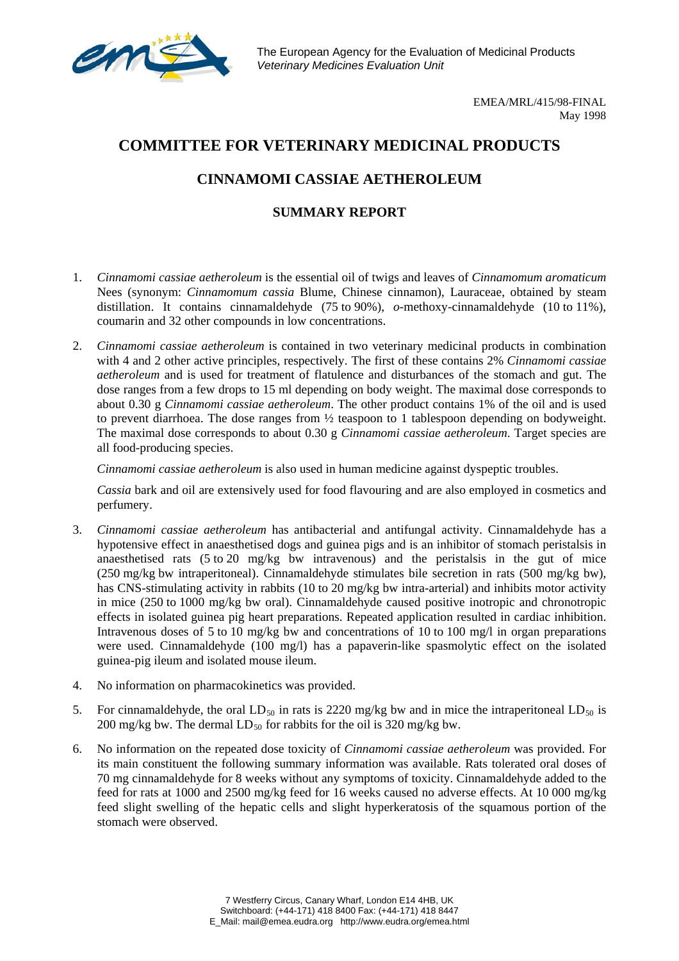

The European Agency for the Evaluation of Medicinal Products *Veterinary Medicines Evaluation Unit*

> EMEA/MRL/415/98-FINAL May 1998

## **COMMITTEE FOR VETERINARY MEDICINAL PRODUCTS**

## **CINNAMOMI CASSIAE AETHEROLEUM**

## **SUMMARY REPORT**

- 1. *Cinnamomi cassiae aetheroleum* is the essential oil of twigs and leaves of *Cinnamomum aromaticum* Nees (synonym: *Cinnamomum cassia* Blume, Chinese cinnamon), Lauraceae, obtained by steam distillation. It contains cinnamaldehyde (75 to 90%), *o*-methoxy-cinnamaldehyde (10 to 11%), coumarin and 32 other compounds in low concentrations.
- 2. *Cinnamomi cassiae aetheroleum* is contained in two veterinary medicinal products in combination with 4 and 2 other active principles, respectively. The first of these contains 2% *Cinnamomi cassiae aetheroleum* and is used for treatment of flatulence and disturbances of the stomach and gut. The dose ranges from a few drops to 15 ml depending on body weight. The maximal dose corresponds to about 0.30 g *Cinnamomi cassiae aetheroleum*. The other product contains 1% of the oil and is used to prevent diarrhoea. The dose ranges from ½ teaspoon to 1 tablespoon depending on bodyweight. The maximal dose corresponds to about 0.30 g *Cinnamomi cassiae aetheroleum*. Target species are all food-producing species.

*Cinnamomi cassiae aetheroleum* is also used in human medicine against dyspeptic troubles.

*Cassia* bark and oil are extensively used for food flavouring and are also employed in cosmetics and perfumery.

- 3. *Cinnamomi cassiae aetheroleum* has antibacterial and antifungal activity. Cinnamaldehyde has a hypotensive effect in anaesthetised dogs and guinea pigs and is an inhibitor of stomach peristalsis in anaesthetised rats (5 to 20 mg/kg bw intravenous) and the peristalsis in the gut of mice (250 mg/kg bw intraperitoneal). Cinnamaldehyde stimulates bile secretion in rats (500 mg/kg bw), has CNS-stimulating activity in rabbits (10 to 20 mg/kg bw intra-arterial) and inhibits motor activity in mice (250 to 1000 mg/kg bw oral). Cinnamaldehyde caused positive inotropic and chronotropic effects in isolated guinea pig heart preparations. Repeated application resulted in cardiac inhibition. Intravenous doses of 5 to 10 mg/kg bw and concentrations of 10 to 100 mg/l in organ preparations were used. Cinnamaldehyde (100 mg/l) has a papaverin-like spasmolytic effect on the isolated guinea-pig ileum and isolated mouse ileum.
- 4. No information on pharmacokinetics was provided.
- 5. For cinnamaldehyde, the oral LD<sub>50</sub> in rats is 2220 mg/kg bw and in mice the intraperitoneal LD<sub>50</sub> is 200 mg/kg bw. The dermal  $LD_{50}$  for rabbits for the oil is 320 mg/kg bw.
- 6. No information on the repeated dose toxicity of *Cinnamomi cassiae aetheroleum* was provided. For its main constituent the following summary information was available. Rats tolerated oral doses of 70 mg cinnamaldehyde for 8 weeks without any symptoms of toxicity. Cinnamaldehyde added to the feed for rats at 1000 and 2500 mg/kg feed for 16 weeks caused no adverse effects. At 10 000 mg/kg feed slight swelling of the hepatic cells and slight hyperkeratosis of the squamous portion of the stomach were observed.